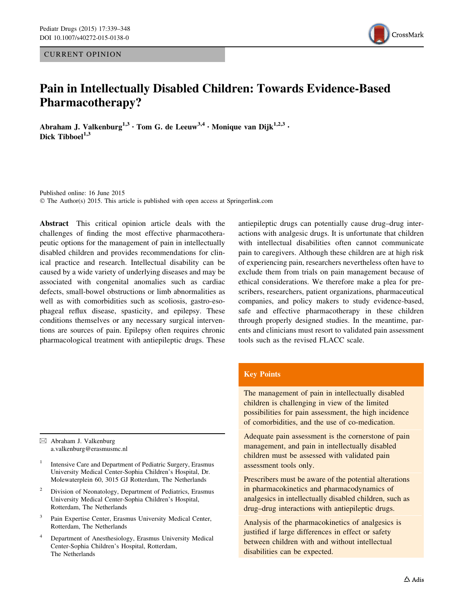CURRENT OPINION



# Pain in Intellectually Disabled Children: Towards Evidence-Based Pharmacotherapy?

Abraham J. Valkenburg<sup>1,3</sup> · Tom G. de Leeuw<sup>3,4</sup> · Monique van Dijk<sup>1,2,3</sup> · Dick Tibboel $^{1,3}$ 

Published online: 16 June 2015 © The Author(s) 2015. This article is published with open access at Springerlink.com

Abstract This critical opinion article deals with the challenges of finding the most effective pharmacotherapeutic options for the management of pain in intellectually disabled children and provides recommendations for clinical practice and research. Intellectual disability can be caused by a wide variety of underlying diseases and may be associated with congenital anomalies such as cardiac defects, small-bowel obstructions or limb abnormalities as well as with comorbidities such as scoliosis, gastro-esophageal reflux disease, spasticity, and epilepsy. These conditions themselves or any necessary surgical interventions are sources of pain. Epilepsy often requires chronic pharmacological treatment with antiepileptic drugs. These

antiepileptic drugs can potentially cause drug–drug interactions with analgesic drugs. It is unfortunate that children with intellectual disabilities often cannot communicate pain to caregivers. Although these children are at high risk of experiencing pain, researchers nevertheless often have to exclude them from trials on pain management because of ethical considerations. We therefore make a plea for prescribers, researchers, patient organizations, pharmaceutical companies, and policy makers to study evidence-based, safe and effective pharmacotherapy in these children through properly designed studies. In the meantime, parents and clinicians must resort to validated pain assessment tools such as the revised FLACC scale.

## Key Points

The management of pain in intellectually disabled children is challenging in view of the limited possibilities for pain assessment, the high incidence of comorbidities, and the use of co-medication.

Adequate pain assessment is the cornerstone of pain management, and pain in intellectually disabled children must be assessed with validated pain assessment tools only.

Prescribers must be aware of the potential alterations in pharmacokinetics and pharmacodynamics of analgesics in intellectually disabled children, such as drug–drug interactions with antiepileptic drugs.

Analysis of the pharmacokinetics of analgesics is justified if large differences in effect or safety between children with and without intellectual disabilities can be expected.

 $\boxtimes$  Abraham J. Valkenburg a.valkenburg@erasmusmc.nl

- <sup>1</sup> Intensive Care and Department of Pediatric Surgery, Erasmus University Medical Center-Sophia Children's Hospital, Dr. Molewaterplein 60, 3015 GJ Rotterdam, The Netherlands
- <sup>2</sup> Division of Neonatology, Department of Pediatrics, Erasmus University Medical Center-Sophia Children's Hospital, Rotterdam, The Netherlands
- Pain Expertise Center, Erasmus University Medical Center, Rotterdam, The Netherlands
- <sup>4</sup> Department of Anesthesiology, Erasmus University Medical Center-Sophia Children's Hospital, Rotterdam, The Netherlands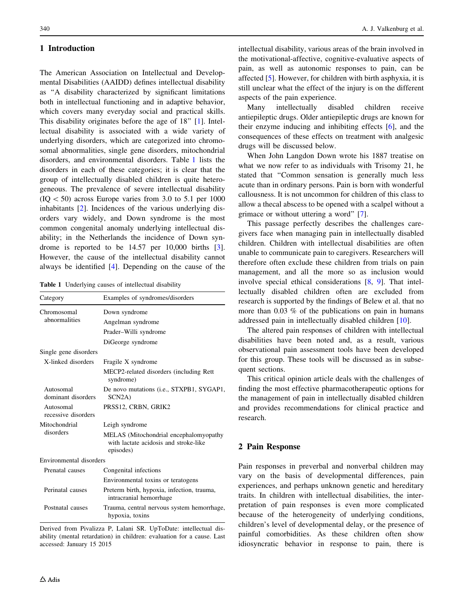## 1 Introduction

The American Association on Intellectual and Developmental Disabilities (AAIDD) defines intellectual disability as ''A disability characterized by significant limitations both in intellectual functioning and in adaptive behavior, which covers many everyday social and practical skills. This disability originates before the age of 18'' [[1](#page-6-0)]. Intellectual disability is associated with a wide variety of underlying disorders, which are categorized into chromosomal abnormalities, single gene disorders, mitochondrial disorders, and environmental disorders. Table 1 lists the disorders in each of these categories; it is clear that the group of intellectually disabled children is quite heterogeneous. The prevalence of severe intellectual disability  $(IO < 50)$  across Europe varies from 3.0 to 5.1 per 1000 inhabitants [\[2](#page-6-0)]. Incidences of the various underlying disorders vary widely, and Down syndrome is the most common congenital anomaly underlying intellectual disability; in the Netherlands the incidence of Down syndrome is reported to be 14.57 per 10,000 births [\[3](#page-7-0)]. However, the cause of the intellectual disability cannot always be identified [[4\]](#page-7-0). Depending on the cause of the

|  |  |  | Table 1 Underlying causes of intellectual disability |  |
|--|--|--|------------------------------------------------------|--|
|--|--|--|------------------------------------------------------|--|

| Category                         | Examples of syndromes/disorders                                                              |  |
|----------------------------------|----------------------------------------------------------------------------------------------|--|
| Chromosomal                      | Down syndrome                                                                                |  |
| abnormalities                    | Angelman syndrome                                                                            |  |
|                                  | Prader-Willi syndrome                                                                        |  |
|                                  | DiGeorge syndrome                                                                            |  |
| Single gene disorders            |                                                                                              |  |
| X-linked disorders               | Fragile X syndrome                                                                           |  |
|                                  | MECP2-related disorders (including Rett<br>syndrome)                                         |  |
| Autosomal<br>dominant disorders  | De novo mutations (i.e., STXPB1, SYGAP1,<br>SCN <sub>2</sub> A)                              |  |
| Autosomal<br>recessive disorders | PRSS12, CRBN, GRIK2                                                                          |  |
| Mitochondrial                    | Leigh syndrome                                                                               |  |
| disorders                        | MELAS (Mitochondrial encephalomyopathy<br>with lactate acidosis and stroke-like<br>episodes) |  |
| Environmental disorders          |                                                                                              |  |
| Prenatal causes                  | Congenital infections                                                                        |  |
|                                  | Environmental toxins or teratogens                                                           |  |
| Perinatal causes                 | Preterm birth, hypoxia, infection, trauma,<br>intracranial hemorrhage                        |  |
| Postnatal causes                 | Trauma, central nervous system hemorrhage,<br>hypoxia, toxins                                |  |

Derived from Pivalizza P, Lalani SR. UpToDate: intellectual disability (mental retardation) in children: evaluation for a cause. Last accessed: January 15 2015

intellectual disability, various areas of the brain involved in the motivational-affective, cognitive-evaluative aspects of pain, as well as autonomic responses to pain, can be affected [\[5](#page-7-0)]. However, for children with birth asphyxia, it is still unclear what the effect of the injury is on the different aspects of the pain experience.

Many intellectually disabled children receive antiepileptic drugs. Older antiepileptic drugs are known for their enzyme inducing and inhibiting effects [[6\]](#page-7-0), and the consequences of these effects on treatment with analgesic drugs will be discussed below.

When John Langdon Down wrote his 1887 treatise on what we now refer to as individuals with Trisomy 21, he stated that ''Common sensation is generally much less acute than in ordinary persons. Pain is born with wonderful callousness. It is not uncommon for children of this class to allow a thecal abscess to be opened with a scalpel without a grimace or without uttering a word'' [\[7](#page-7-0)].

This passage perfectly describes the challenges caregivers face when managing pain in intellectually disabled children. Children with intellectual disabilities are often unable to communicate pain to caregivers. Researchers will therefore often exclude these children from trials on pain management, and all the more so as inclusion would involve special ethical considerations [[8,](#page-7-0) [9](#page-7-0)]. That intellectually disabled children often are excluded from research is supported by the findings of Belew et al. that no more than 0.03 % of the publications on pain in humans addressed pain in intellectually disabled children [[10\]](#page-7-0).

The altered pain responses of children with intellectual disabilities have been noted and, as a result, various observational pain assessment tools have been developed for this group. These tools will be discussed as in subsequent sections.

This critical opinion article deals with the challenges of finding the most effective pharmacotherapeutic options for the management of pain in intellectually disabled children and provides recommendations for clinical practice and research.

#### 2 Pain Response

Pain responses in preverbal and nonverbal children may vary on the basis of developmental differences, pain experiences, and perhaps unknown genetic and hereditary traits. In children with intellectual disabilities, the interpretation of pain responses is even more complicated because of the heterogeneity of underlying conditions, children's level of developmental delay, or the presence of painful comorbidities. As these children often show idiosyncratic behavior in response to pain, there is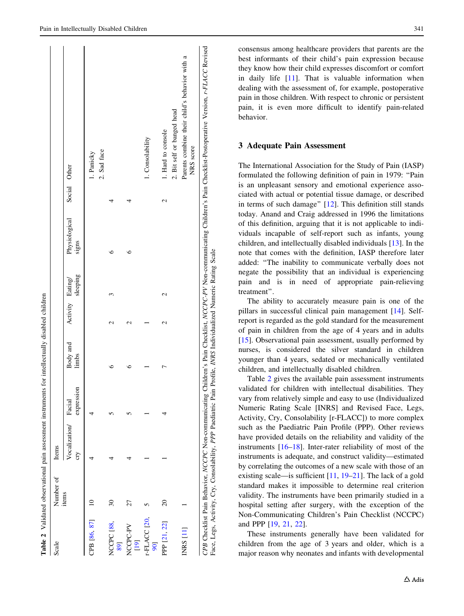<span id="page-2-0"></span>

| Scale                                      | Number of       | Items                       |            |                   |                 |             |                        |              |                                                            |
|--------------------------------------------|-----------------|-----------------------------|------------|-------------------|-----------------|-------------|------------------------|--------------|------------------------------------------------------------|
|                                            | items           | Vocalization/ Facial<br>CTY | expression | Body and<br>limbs | Activity Eating | sleeping    | Physiological<br>signs | Social Other |                                                            |
| CPB [86, 87]                               | $\approx$       |                             |            |                   |                 |             |                        |              | 2. Sad face<br>1. Panicky                                  |
| NCCPC <sub>[88</sub> ,<br>89]              | $\overline{30}$ |                             |            |                   | N               | 3           | ७                      |              |                                                            |
| NCCPC-PV<br>$[19]$                         | 27              |                             |            | ७                 | $\mathbf 2$     |             | $\circ$                | 4            |                                                            |
| r-FLACC <sub>[20</sub> ,<br>$\overline{5}$ |                 |                             |            |                   |                 |             |                        |              | 1. Consolability                                           |
| PPP [21, 22]                               | $\infty$        |                             | 4          |                   | $\mathbf 2$     | $\mathbf 2$ |                        | $\mathbf 2$  | 2. Bit self or banged head<br>1. Hard to console           |
| <b>INRS</b> [11]                           |                 |                             |            |                   |                 |             |                        |              | Parents combine their child's behavior with a<br>NRS score |

consensus among healthcare providers that parents are the best informants of their child's pain expression because they know how their child expresses discomfort or comfort in daily life [\[11](#page-7-0)]. That is valuable information when dealing with the assessment of, for example, postoperative pain in those children. With respect to chronic or persistent pain, it is even more difficult to identify pain-related behavior.

#### 3 Adequate Pain Assessment

The International Association for the Study of Pain (IASP) formulated the following definition of pain in 1979: ''Pain is an unpleasant sensory and emotional experience associated with actual or potential tissue damage, or described in terms of such damage'' [\[12](#page-7-0)]. This definition still stands today. Anand and Craig addressed in 1996 the limitations of this definition, arguing that it is not applicable to individuals incapable of self-report such as infants, young children, and intellectually disabled individuals [[13\]](#page-7-0). In the note that comes with the definition, IASP therefore later added: ''The inability to communicate verbally does not negate the possibility that an individual is experiencing pain and is in need of appropriate pain-relieving treatment''.

The ability to accurately measure pain is one of the pillars in successful clinical pain management [\[14](#page-7-0)]. Selfreport is regarded as the gold standard for the measurement of pain in children from the age of 4 years and in adults [\[15](#page-7-0)]. Observational pain assessment, usually performed by nurses, is considered the silver standard in children younger than 4 years, sedated or mechanically ventilated children, and intellectually disabled children.

Table 2 gives the available pain assessment instruments validated for children with intellectual disabilities. They vary from relatively simple and easy to use (Individualized Numeric Rating Scale [INRS] and Revised Face, Legs, Activity, Cry, Consolability [r-FLACC]) to more complex such as the Paediatric Pain Profile (PPP). Other reviews have provided details on the reliability and validity of the instruments [\[16–18](#page-7-0)]. Inter-rater reliability of most of the instruments is adequate, and construct validity—estimated by correlating the outcomes of a new scale with those of an existing scale—is sufficient [[11,](#page-7-0) [19–21\]](#page-7-0). The lack of a gold standard makes it impossible to determine real criterion validity. The instruments have been primarily studied in a hospital setting after surgery, with the exception of the Non-Communicating Children's Pain Checklist (NCCPC) and PPP [\[19](#page-7-0), [21,](#page-7-0) [22\]](#page-7-0).

These instruments generally have been validated for children from the age of 3 years and older, which is a major reason why neonates and infants with developmental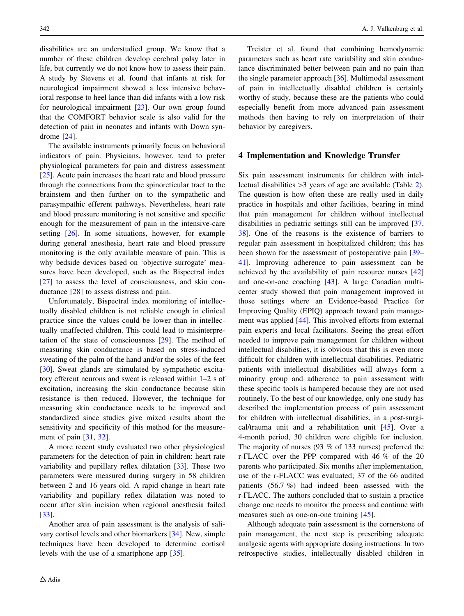disabilities are an understudied group. We know that a number of these children develop cerebral palsy later in life, but currently we do not know how to assess their pain. A study by Stevens et al. found that infants at risk for neurological impairment showed a less intensive behavioral response to heel lance than did infants with a low risk for neurological impairment [[23\]](#page-7-0). Our own group found that the COMFORT behavior scale is also valid for the detection of pain in neonates and infants with Down syndrome [\[24](#page-7-0)].

The available instruments primarily focus on behavioral indicators of pain. Physicians, however, tend to prefer physiological parameters for pain and distress assessment [\[25](#page-7-0)]. Acute pain increases the heart rate and blood pressure through the connections from the spinoreticular tract to the brainstem and then further on to the sympathetic and parasympathic efferent pathways. Nevertheless, heart rate and blood pressure monitoring is not sensitive and specific enough for the measurement of pain in the intensive-care setting [[26\]](#page-7-0). In some situations, however, for example during general anesthesia, heart rate and blood pressure monitoring is the only available measure of pain. This is why bedside devices based on 'objective surrogate' measures have been developed, such as the Bispectral index [\[27](#page-7-0)] to assess the level of consciousness, and skin conductance [\[28](#page-7-0)] to assess distress and pain.

Unfortunately, Bispectral index monitoring of intellectually disabled children is not reliable enough in clinical practice since the values could be lower than in intellectually unaffected children. This could lead to misinterpretation of the state of consciousness [[29\]](#page-7-0). The method of measuring skin conductance is based on stress-induced sweating of the palm of the hand and/or the soles of the feet [\[30](#page-7-0)]. Sweat glands are stimulated by sympathetic excitatory efferent neurons and sweat is released within 1–2 s of excitation, increasing the skin conductance because skin resistance is then reduced. However, the technique for measuring skin conductance needs to be improved and standardized since studies give mixed results about the sensitivity and specificity of this method for the measurement of pain [[31,](#page-7-0) [32\]](#page-7-0).

A more recent study evaluated two other physiological parameters for the detection of pain in children: heart rate variability and pupillary reflex dilatation [[33\]](#page-7-0). These two parameters were measured during surgery in 58 children between 2 and 16 years old. A rapid change in heart rate variability and pupillary reflex dilatation was noted to occur after skin incision when regional anesthesia failed [\[33](#page-7-0)].

Another area of pain assessment is the analysis of salivary cortisol levels and other biomarkers [\[34](#page-7-0)]. New, simple techniques have been developed to determine cortisol levels with the use of a smartphone app [[35\]](#page-7-0).

Treister et al. found that combining hemodynamic parameters such as heart rate variability and skin conductance discriminated better between pain and no pain than the single parameter approach [[36\]](#page-7-0). Multimodal assessment of pain in intellectually disabled children is certainly worthy of study, because these are the patients who could especially benefit from more advanced pain assessment methods then having to rely on interpretation of their behavior by caregivers.

#### 4 Implementation and Knowledge Transfer

Six pain assessment instruments for children with intellectual disabilities  $>3$  years of age are available (Table [2](#page-2-0)). The question is how often these are really used in daily practice in hospitals and other facilities, bearing in mind that pain management for children without intellectual disabilities in pediatric settings still can be improved [[37,](#page-7-0) [38](#page-7-0)]. One of the reasons is the existence of barriers to regular pain assessment in hospitalized children; this has been shown for the assessment of postoperative pain [\[39](#page-7-0)– [41](#page-7-0)]. Improving adherence to pain assessment can be achieved by the availability of pain resource nurses [[42\]](#page-7-0) and one-on-one coaching [[43\]](#page-8-0). A large Canadian multicenter study showed that pain management improved in those settings where an Evidence-based Practice for Improving Quality (EPIQ) approach toward pain management was applied [\[44](#page-8-0)]. This involved efforts from external pain experts and local facilitators. Seeing the great effort needed to improve pain management for children without intellectual disabilities, it is obvious that this is even more difficult for children with intellectual disabilities. Pediatric patients with intellectual disabilities will always form a minority group and adherence to pain assessment with these specific tools is hampered because they are not used routinely. To the best of our knowledge, only one study has described the implementation process of pain assessment for children with intellectual disabilities, in a post-surgical/trauma unit and a rehabilitation unit [[45\]](#page-8-0). Over a 4-month period, 30 children were eligible for inclusion. The majority of nurses (93 % of 133 nurses) preferred the r-FLACC over the PPP compared with 46 % of the 20 parents who participated. Six months after implementation, use of the r-FLACC was evaluated; 37 of the 66 audited patients (56.7 %) had indeed been assessed with the r-FLACC. The authors concluded that to sustain a practice change one needs to monitor the process and continue with measures such as one-on-one training [[45\]](#page-8-0).

Although adequate pain assessment is the cornerstone of pain management, the next step is prescribing adequate analgesic agents with appropriate dosing instructions. In two retrospective studies, intellectually disabled children in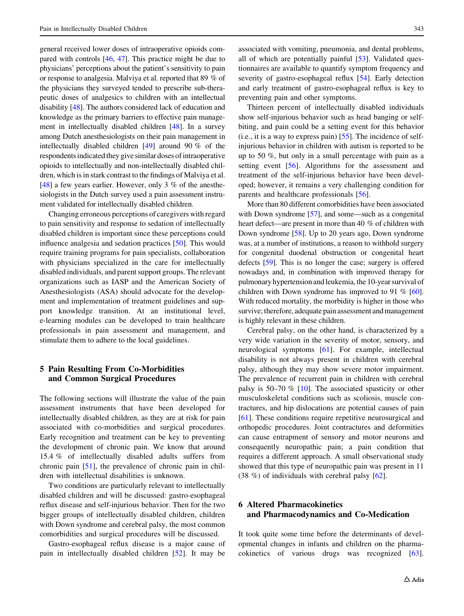general received lower doses of intraoperative opioids compared with controls [\[46,](#page-8-0) [47](#page-8-0)]. This practice might be due to physicians' perceptions about the patient's sensitivity to pain or response to analgesia. Malviya et al. reported that 89 % of the physicians they surveyed tended to prescribe sub-therapeutic doses of analgesics to children with an intellectual disability [\[48\]](#page-8-0). The authors considered lack of education and knowledge as the primary barriers to effective pain management in intellectually disabled children [\[48\]](#page-8-0). In a survey among Dutch anesthesiologists on their pain management in intellectually disabled children [\[49\]](#page-8-0) around 90 % of the respondents indicated they give similar doses of intraoperative opioids to intellectually and non-intellectually disabled children, which is in stark contrast to the findings of Malviya et al. [\[48](#page-8-0)] a few years earlier. However, only 3 % of the anesthesiologists in the Dutch survey used a pain assessment instrument validated for intellectually disabled children.

Changing erroneous perceptions of caregivers with regard to pain sensitivity and response to sedation of intellectually disabled children is important since these perceptions could influence analgesia and sedation practices [\[50](#page-8-0)]. This would require training programs for pain specialists, collaboration with physicians specialized in the care for intellectually disabled individuals, and parent support groups. The relevant organizations such as IASP and the American Society of Anesthesiologists (ASA) should advocate for the development and implementation of treatment guidelines and support knowledge transition. At an institutional level, e-learning modules can be developed to train healthcare professionals in pain assessment and management, and stimulate them to adhere to the local guidelines.

## 5 Pain Resulting From Co-Morbidities and Common Surgical Procedures

The following sections will illustrate the value of the pain assessment instruments that have been developed for intellectually disabled children, as they are at risk for pain associated with co-morbidities and surgical procedures. Early recognition and treatment can be key to preventing the development of chronic pain. We know that around 15.4 % of intellectually disabled adults suffers from chronic pain [\[51](#page-8-0)], the prevalence of chronic pain in children with intellectual disabilities is unknown.

Two conditions are particularly relevant to intellectually disabled children and will be discussed: gastro-esophageal reflux disease and self-injurious behavior. Then for the two bigger groups of intellectually disabled children, children with Down syndrome and cerebral palsy, the most common comorbidities and surgical procedures will be discussed.

Gastro-esophageal reflux disease is a major cause of pain in intellectually disabled children [[52\]](#page-8-0). It may be associated with vomiting, pneumonia, and dental problems, all of which are potentially painful [[53\]](#page-8-0). Validated questionnaires are available to quantify symptom frequency and severity of gastro-esophageal reflux [[54\]](#page-8-0). Early detection and early treatment of gastro-esophageal reflux is key to preventing pain and other symptoms.

Thirteen percent of intellectually disabled individuals show self-injurious behavior such as head banging or selfbiting, and pain could be a setting event for this behavior (i.e., it is a way to express pain)  $[55]$  $[55]$ . The incidence of selfinjurious behavior in children with autism is reported to be up to 50 %, but only in a small percentage with pain as a setting event [[56\]](#page-8-0). Algorithms for the assessment and treatment of the self-injurious behavior have been developed; however, it remains a very challenging condition for parents and healthcare professionals [\[56](#page-8-0)].

More than 80 different comorbidities have been associated with Down syndrome [\[57\]](#page-8-0), and some—such as a congenital heart defect—are present in more than 40 % of children with Down syndrome [\[58\]](#page-8-0). Up to 20 years ago, Down syndrome was, at a number of institutions, a reason to withhold surgery for congenital duodenal obstruction or congenital heart defects [[59\]](#page-8-0). This is no longer the case; surgery is offered nowadays and, in combination with improved therapy for pulmonary hypertension and leukemia, the 10-year survival of children with Down syndrome has improved to 91 % [[60\]](#page-8-0). With reduced mortality, the morbidity is higher in those who survive; therefore, adequate pain assessment and management is highly relevant in these children.

Cerebral palsy, on the other hand, is characterized by a very wide variation in the severity of motor, sensory, and neurological symptoms [[61\]](#page-8-0). For example, intellectual disability is not always present in children with cerebral palsy, although they may show severe motor impairment. The prevalence of recurrent pain in children with cerebral palsy is 50–70 % [\[10](#page-7-0)]. The associated spasticity or other musculoskeletal conditions such as scoliosis, muscle contractures, and hip dislocations are potential causes of pain [\[61](#page-8-0)]. These conditions require repetitive neurosurgical and orthopedic procedures. Joint contractures and deformities can cause entrapment of sensory and motor neurons and consequently neuropathic pain; a pain condition that requires a different approach. A small observational study showed that this type of neuropathic pain was present in 11 (38 %) of individuals with cerebral palsy [[62\]](#page-8-0).

# 6 Altered Pharmacokinetics and Pharmacodynamics and Co-Medication

It took quite some time before the determinants of developmental changes in infants and children on the pharmacokinetics of various drugs was recognized [\[63](#page-8-0)].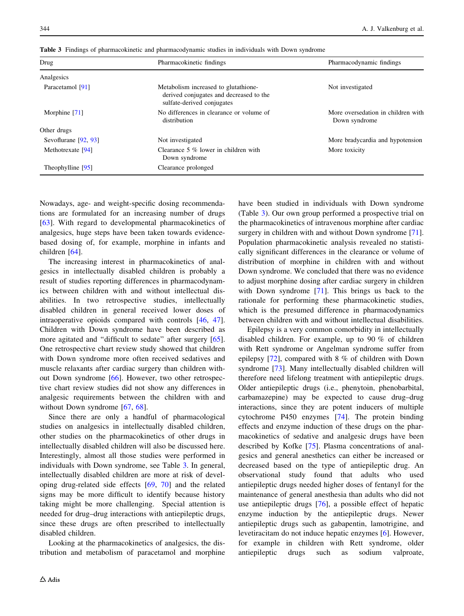| Drug                   | Pharmacokinetic findings                                                                                      | Pharmacodynamic findings                            |
|------------------------|---------------------------------------------------------------------------------------------------------------|-----------------------------------------------------|
| Analgesics             |                                                                                                               |                                                     |
| Paracetamol [91]       | Metabolism increased to glutathione-<br>derived conjugates and decreased to the<br>sulfate-derived conjugates | Not investigated                                    |
| Morphine [71]          | No differences in clearance or volume of<br>distribution                                                      | More oversedation in children with<br>Down syndrome |
| Other drugs            |                                                                                                               |                                                     |
| Sevoflurane $[92, 93]$ | Not investigated                                                                                              | More bradycardia and hypotension                    |
| Methotrexate [94]      | Clearance $5\%$ lower in children with<br>Down syndrome                                                       | More toxicity                                       |
| Theophylline $[95]$    | Clearance prolonged                                                                                           |                                                     |

Table 3 Findings of pharmacokinetic and pharmacodynamic studies in individuals with Down syndrome

Nowadays, age- and weight-specific dosing recommendations are formulated for an increasing number of drugs [\[63](#page-8-0)]. With regard to developmental pharmacokinetics of analgesics, huge steps have been taken towards evidencebased dosing of, for example, morphine in infants and children [[64\]](#page-8-0).

The increasing interest in pharmacokinetics of analgesics in intellectually disabled children is probably a result of studies reporting differences in pharmacodynamics between children with and without intellectual disabilities. In two retrospective studies, intellectually disabled children in general received lower doses of intraoperative opioids compared with controls [[46,](#page-8-0) [47](#page-8-0)]. Children with Down syndrome have been described as more agitated and "difficult to sedate" after surgery [\[65](#page-8-0)]. One retrospective chart review study showed that children with Down syndrome more often received sedatives and muscle relaxants after cardiac surgery than children without Down syndrome [[66\]](#page-8-0). However, two other retrospective chart review studies did not show any differences in analgesic requirements between the children with and without Down syndrome [[67,](#page-8-0) [68](#page-8-0)].

Since there are only a handful of pharmacological studies on analgesics in intellectually disabled children, other studies on the pharmacokinetics of other drugs in intellectually disabled children will also be discussed here. Interestingly, almost all those studies were performed in individuals with Down syndrome, see Table 3. In general, intellectually disabled children are more at risk of developing drug-related side effects [\[69](#page-8-0), [70\]](#page-8-0) and the related signs may be more difficult to identify because history taking might be more challenging. Special attention is needed for drug–drug interactions with antiepileptic drugs, since these drugs are often prescribed to intellectually disabled children.

Looking at the pharmacokinetics of analgesics, the distribution and metabolism of paracetamol and morphine have been studied in individuals with Down syndrome (Table 3). Our own group performed a prospective trial on the pharmacokinetics of intravenous morphine after cardiac surgery in children with and without Down syndrome [\[71](#page-8-0)]. Population pharmacokinetic analysis revealed no statistically significant differences in the clearance or volume of distribution of morphine in children with and without Down syndrome. We concluded that there was no evidence to adjust morphine dosing after cardiac surgery in children with Down syndrome [[71\]](#page-8-0). This brings us back to the rationale for performing these pharmacokinetic studies, which is the presumed difference in pharmacodynamics between children with and without intellectual disabilities.

Epilepsy is a very common comorbidity in intellectually disabled children. For example, up to 90 % of children with Rett syndrome or Angelman syndrome suffer from epilepsy [\[72](#page-8-0)], compared with 8 % of children with Down syndrome [[73](#page-8-0)]. Many intellectually disabled children will therefore need lifelong treatment with antiepileptic drugs. Older antiepileptic drugs (i.e., phenytoin, phenobarbital, carbamazepine) may be expected to cause drug–drug interactions, since they are potent inducers of multiple cytochrome P450 enzymes [\[74](#page-8-0)]. The protein binding effects and enzyme induction of these drugs on the pharmacokinetics of sedative and analgesic drugs have been described by Kofke [[75\]](#page-8-0). Plasma concentrations of analgesics and general anesthetics can either be increased or decreased based on the type of antiepileptic drug. An observational study found that adults who used antiepileptic drugs needed higher doses of fentanyl for the maintenance of general anesthesia than adults who did not use antiepileptic drugs [\[76](#page-8-0)], a possible effect of hepatic enzyme induction by the antiepileptic drugs. Newer antiepileptic drugs such as gabapentin, lamotrigine, and levetiracitam do not induce hepatic enzymes [[6\]](#page-7-0). However, for example in children with Rett syndrome, older antiepileptic drugs such as sodium valproate,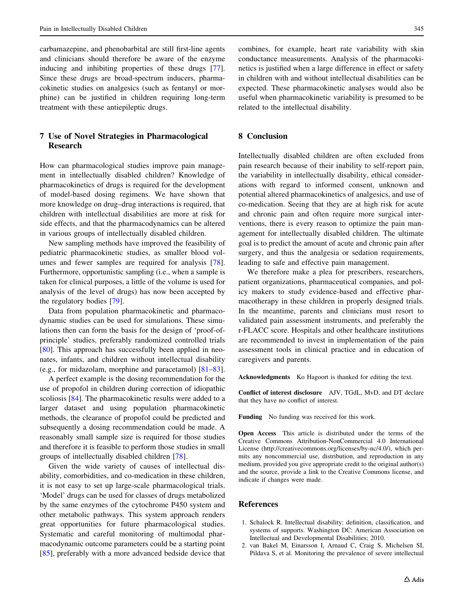<span id="page-6-0"></span>carbamazepine, and phenobarbital are still first-line agents and clinicians should therefore be aware of the enzyme inducing and inhibiting properties of these drugs [\[77](#page-8-0)]. Since these drugs are broad-spectrum inducers, pharmacokinetic studies on analgesics (such as fentanyl or morphine) can be justified in children requiring long-term treatment with these antiepileptic drugs.

# 7 Use of Novel Strategies in Pharmacological Research

How can pharmacological studies improve pain management in intellectually disabled children? Knowledge of pharmacokinetics of drugs is required for the development of model-based dosing regimens. We have shown that more knowledge on drug–drug interactions is required, that children with intellectual disabilities are more at risk for side effects, and that the pharmacodynamics can be altered in various groups of intellectually disabled children.

New sampling methods have improved the feasibility of pediatric pharmacokinetic studies, as smaller blood volumes and fewer samples are required for analysis [\[78](#page-8-0)]. Furthermore, opportunistic sampling (i.e., when a sample is taken for clinical purposes, a little of the volume is used for analysis of the level of drugs) has now been accepted by the regulatory bodies [[79\]](#page-8-0).

Data from population pharmacokinetic and pharmacodynamic studies can be used for simulations. These simulations then can form the basis for the design of 'proof-ofprinciple' studies, preferably randomized controlled trials [\[80](#page-8-0)]. This approach has successfully been applied in neonates, infants, and children without intellectual disability (e.g., for midazolam, morphine and paracetamol) [\[81](#page-8-0)[–83](#page-9-0)].

A perfect example is the dosing recommendation for the use of propofol in children during correction of idiopathic scoliosis [\[84](#page-9-0)]. The pharmacokinetic results were added to a larger dataset and using population pharmacokinetic methods, the clearance of propofol could be predicted and subsequently a dosing recommendation could be made. A reasonably small sample size is required for those studies and therefore it is feasible to perform those studies in small groups of intellectually disabled children [\[78](#page-8-0)].

Given the wide variety of causes of intellectual disability, comorbidities, and co-medication in these children, it is not easy to set up large-scale pharmacological trials. 'Model' drugs can be used for classes of drugs metabolized by the same enzymes of the cytochrome P450 system and other metabolic pathways. This system approach renders great opportunities for future pharmacological studies. Systematic and careful monitoring of multimodal pharmacodynamic outcome parameters could be a starting point [\[85](#page-9-0)], preferably with a more advanced bedside device that combines, for example, heart rate variability with skin conductance measurements. Analysis of the pharmacokinetics is justified when a large difference in effect or safety in children with and without intellectual disabilities can be expected. These pharmacokinetic analyses would also be useful when pharmacokinetic variability is presumed to be related to the intellectual disability.

### 8 Conclusion

Intellectually disabled children are often excluded from pain research because of their inability to self-report pain, the variability in intellectually disability, ethical considerations with regard to informed consent, unknown and potential altered pharmacokinetics of analgesics, and use of co-medication. Seeing that they are at high risk for acute and chronic pain and often require more surgical interventions, there is every reason to optimize the pain management for intellectually disabled children. The ultimate goal is to predict the amount of acute and chronic pain after surgery, and thus the analgesia or sedation requirements, leading to safe and effective pain management.

We therefore make a plea for prescribers, researchers, patient organizations, pharmaceutical companies, and policy makers to study evidence-based and effective pharmacotherapy in these children in properly designed trials. In the meantime, parents and clinicians must resort to validated pain assessment instruments, and preferably the r-FLACC score. Hospitals and other healthcare institutions are recommended to invest in implementation of the pain assessment tools in clinical practice and in education of caregivers and parents.

Acknowledgments Ko Hagoort is thanked for editing the text.

Conflict of interest disclosure AJV, TGdL, MvD, and DT declare that they have no conflict of interest.

Funding No funding was received for this work.

Open Access This article is distributed under the terms of the Creative Commons Attribution-NonCommercial 4.0 International License (http://creativecommons.org/licenses/by-nc/4.0/), which permits any noncommercial use, distribution, and reproduction in any medium, provided you give appropriate credit to the original author(s) and the source, provide a link to the Creative Commons license, and indicate if changes were made.

#### References

- 1. Schalock R. Intellectual disability: definition, classification, and systems of supports. Washington DC: American Association on Intellectual and Developmental Disabilities; 2010.
- 2. van Bakel M, Einarsson I, Arnaud C, Craig S, Michelsen SI, Pildava S, et al. Monitoring the prevalence of severe intellectual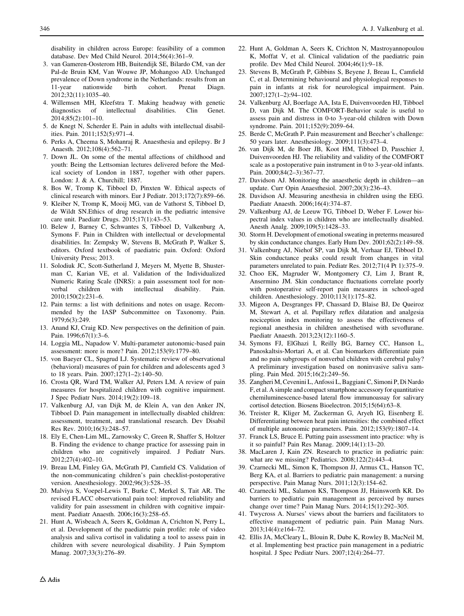<span id="page-7-0"></span>disability in children across Europe: feasibility of a common database. Dev Med Child Neurol. 2014;56(4):361–9.

- 3. van Gameren-Oosterom HB, Buitendijk SE, Bilardo CM, van der Pal-de Bruin KM, Van Wouwe JP, Mohangoo AD. Unchanged prevalence of Down syndrome in the Netherlands: results from an 11-year nationwide birth cohort. Prenat Diagn. 2012;32(11):1035–40.
- 4. Willemsen MH, Kleefstra T. Making headway with genetic diagnostics of intellectual disabilities. Clin Genet. 2014;85(2):101–10.
- 5. de Knegt N, Scherder E. Pain in adults with intellectual disabilities. Pain. 2011;152(5):971–4.
- 6. Perks A, Cheema S, Mohanraj R. Anaesthesia and epilepsy. Br J Anaesth. 2012;108(4):562–71.
- 7. Down JL. On some of the mental affections of childhood and youth: Being the Lettsomian lectures delivered before the Medical society of London in 1887, together with other papers. London: J. & A. Churchill; 1887.
- 8. Bos W, Tromp K, Tibboel D, Pinxten W. Ethical aspects of clinical research with minors. Eur J Pediatr. 2013;172(7):859–66.
- 9. Kleiber N, Tromp K, Mooij MG, van de Vathorst S, Tibboel D, de Wildt SN.Ethics of drug research in the pediatric intensive care unit. Paediatr Drugs. 2015;17(1):43–53.
- 10. Belew J, Barney C, Schwantes S, Tibboel D, Valkenburg A, Symons F. Pain in Children with intellectual or developmental disabilities. In: Zempsky W, Stevens B, McGrath P, Walker S, editors. Oxford textbook of paediatric pain. Oxford: Oxford University Press; 2013.
- 11. Solodiuk JC, Scott-Sutherland J, Meyers M, Myette B, Shusterman C, Karian VE, et al. Validation of the Individualized Numeric Rating Scale (INRS): a pain assessment tool for nonverbal children with intellectual disability. Pain. 2010;150(2):231–6.
- 12. Pain terms: a list with definitions and notes on usage. Recommended by the IASP Subcommittee on Taxonomy. Pain. 1979;6(3):249.
- 13. Anand KJ, Craig KD. New perspectives on the definition of pain. Pain. 1996;67(1):3–6.
- 14. Loggia ML, Napadow V. Multi-parameter autonomic-based pain assessment: more is more? Pain. 2012;153(9):1779–80.
- 15. von Baeyer CL, Spagrud LJ. Systematic review of observational (behavioral) measures of pain for children and adolescents aged 3 to 18 years. Pain. 2007;127(1–2):140–50.
- 16. Crosta QR, Ward TM, Walker AJ, Peters LM. A review of pain measures for hospitalized children with cognitive impairment. J Spec Pediatr Nurs. 2014;19(2):109–18.
- 17. Valkenburg AJ, van Dijk M, de Klein A, van den Anker JN, Tibboel D. Pain management in intellectually disabled children: assessment, treatment, and translational research. Dev Disabil Res Rev. 2010;16(3):248–57.
- 18. Ely E, Chen-Lim ML, Zarnowsky C, Green R, Shaffer S, Holtzer B. Finding the evidence to change practice for assessing pain in children who are cognitively impaired. J Pediatr Nurs. 2012;27(4):402–10.
- 19. Breau LM, Finley GA, McGrath PJ, Camfield CS. Validation of the non-communicating children's pain checklist-postoperative version. Anesthesiology. 2002;96(3):528–35.
- 20. Malviya S, Voepel-Lewis T, Burke C, Merkel S, Tait AR. The revised FLACC observational pain tool: improved reliability and validity for pain assessment in children with cognitive impairment. Paediatr Anaesth. 2006;16(3):258–65.
- 21. Hunt A, Wisbeach A, Seers K, Goldman A, Crichton N, Perry L, et al. Development of the paediatric pain profile: role of video analysis and saliva cortisol in validating a tool to assess pain in children with severe neurological disability. J Pain Symptom Manag. 2007;33(3):276–89.
- 22. Hunt A, Goldman A, Seers K, Crichton N, Mastroyannopoulou K, Moffat V, et al. Clinical validation of the paediatric pain profile. Dev Med Child Neurol. 2004;46(1):9–18.
- 23. Stevens B, McGrath P, Gibbins S, Beyene J, Breau L, Camfield C, et al. Determining behavioural and physiological responses to pain in infants at risk for neurological impairment. Pain. 2007;127(1–2):94–102.
- 24. Valkenburg AJ, Boerlage AA, Ista E, Duivenvoorden HJ, Tibboel D, van Dijk M. The COMFORT-Behavior scale is useful to assess pain and distress in 0-to 3-year-old children with Down syndrome. Pain. 2011;152(9):2059–64.
- 25. Berde C, McGrath P. Pain measurement and Beecher's challenge: 50 years later. Anesthesiology. 2009;111(3):473–4.
- 26. van Dijk M, de Boer JB, Koot HM, Tibboel D, Passchier J, Duivenvoorden HJ. The reliability and validity of the COMFORT scale as a postoperative pain instrument in 0 to 3-year-old infants. Pain. 2000;84(2–3):367–77.
- 27. Davidson AJ. Monitoring the anaesthetic depth in children—an update. Curr Opin Anaesthesiol. 2007;20(3):236–43.
- 28. Davidson AJ. Measuring anesthesia in children using the EEG. Paediatr Anaesth. 2006;16(4):374–87.
- 29. Valkenburg AJ, de Leeuw TG, Tibboel D, Weber F. Lower bispectral index values in children who are intellectually disabled. Anesth Analg. 2009;109(5):1428–33.
- 30. Storm H. Development of emotional sweating in preterms measured by skin conductance changes. Early Hum Dev. 2001;62(2):149–58.
- 31. Valkenburg AJ, Niehof SP, van Dijk M, Verhaar EJ, Tibboel D. Skin conductance peaks could result from changes in vital parameters unrelated to pain. Pediatr Res. 2012;71(4 Pt 1):375–9.
- 32. Choo EK, Magruder W, Montgomery CJ, Lim J, Brant R, Ansermino JM. Skin conductance fluctuations correlate poorly with postoperative self-report pain measures in school-aged children. Anesthesiology. 2010;113(1):175–82.
- 33. Migeon A, Desgranges FP, Chassard D, Blaise BJ, De Queiroz M, Stewart A, et al. Pupillary reflex dilatation and analgesia nociception index monitoring to assess the effectiveness of regional anesthesia in children anesthetised with sevoflurane. Paediatr Anaesth. 2013;23(12):1160–5.
- 34. Symons FJ, ElGhazi I, Reilly BG, Barney CC, Hanson L, Panoskaltsis-Mortari A, et al. Can biomarkers differentiate pain and no pain subgroups of nonverbal children with cerebral palsy? A preliminary investigation based on noninvasive saliva sampling. Pain Med. 2015;16(2):249–56.
- 35. Zangheri M, Cevenini L, Anfossi L, Baggiani C, Simoni P, Di Nardo F, et al. A simple and compact smartphone accessory for quantitative chemiluminescence-based lateral flow immunoassay for salivary cortisol detection. Biosens Bioelectron. 2015;15(64):63–8.
- 36. Treister R, Kliger M, Zuckerman G, Aryeh IG, Eisenberg E. Differentiating between heat pain intensities: the combined effect of multiple autonomic parameters. Pain. 2012;153(9):1807–14.
- 37. Franck LS, Bruce E. Putting pain assessment into practice: why is it so painful? Pain Res Manag. 2009;14(1):13–20.
- 38. MacLaren J, Kain ZN. Research to practice in pediatric pain: what are we missing? Pediatrics. 2008;122(2):443–4.
- 39. Czarnecki ML, Simon K, Thompson JJ, Armus CL, Hanson TC, Berg KA, et al. Barriers to pediatric pain management: a nursing perspective. Pain Manag Nurs. 2011;12(3):154–62.
- 40. Czarnecki ML, Salamon KS, Thompson JJ, Hainsworth KR. Do barriers to pediatric pain management as perceived by nurses change over time? Pain Manag Nurs. 2014;15(1):292–305.
- 41. Twycross A. Nurses' views about the barriers and facilitators to effective management of pediatric pain. Pain Manag Nurs. 2013;14(4):e164–72.
- 42. Ellis JA, McCleary L, Blouin R, Dube K, Rowley B, MacNeil M, et al. Implementing best practice pain management in a pediatric hospital. J Spec Pediatr Nurs. 2007;12(4):264–77.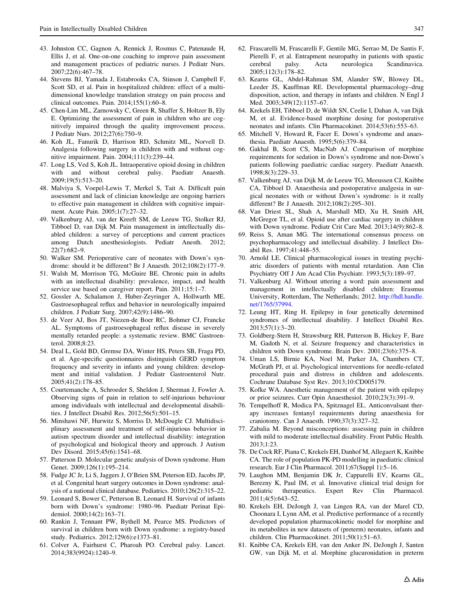- <span id="page-8-0"></span>43. Johnston CC, Gagnon A, Rennick J, Rosmus C, Patenaude H, Ellis J, et al. One-on-one coaching to improve pain assessment and management practices of pediatric nurses. J Pediatr Nurs. 2007;22(6):467–78.
- 44. Stevens BJ, Yamada J, Estabrooks CA, Stinson J, Campbell F, Scott SD, et al. Pain in hospitalized children: effect of a multidimensional knowledge translation strategy on pain process and clinical outcomes. Pain. 2014;155(1):60–8.
- 45. Chen-Lim ML, Zarnowsky C, Green R, Shaffer S, Holtzer B, Ely E. Optimizing the assessment of pain in children who are cognitively impaired through the quality improvement process. J Pediatr Nurs. 2012;27(6):750–9.
- 46. Koh JL, Fanurik D, Harrison RD, Schmitz ML, Norvell D. Analgesia following surgery in children with and without cognitive impairment. Pain. 2004;111(3):239–44.
- 47. Long LS, Ved S, Koh JL. Intraoperative opioid dosing in children with and without cerebral palsy. Paediatr Anaesth. 2009;19(5):513–20.
- 48. Malviya S, Voepel-Lewis T, Merkel S, Tait A. Difficult pain assessment and lack of clinician knowledge are ongoing barriers to effective pain management in children with cognitive impairment. Acute Pain. 2005;1(7):27–32.
- 49. Valkenburg AJ, van der Kreeft SM, de Leeuw TG, Stolker RJ, Tibboel D, van Dijk M. Pain management in intellectually disabled children: a survey of perceptions and current practices among Dutch anesthesiologists. Pediatr Anesth. 2012; 22(7):682–9.
- 50. Walker SM. Perioperative care of neonates with Down's syndrome: should it be different? Br J Anaesth. 2012;108(2):177–9.
- 51. Walsh M, Morrison TG, McGuire BE. Chronic pain in adults with an intellectual disability: prevalence, impact, and health service use based on caregiver report. Pain. 2011;15:1–7.
- 52. Gossler A, Schalamon J, Huber-Zeyringer A, Hollwarth ME. Gastroesophageal reflux and behavior in neurologically impaired children. J Pediatr Surg. 2007;42(9):1486–90.
- 53. de Veer AJ, Bos JT, Niezen-de Boer RC, Bohmer CJ, Francke AL. Symptoms of gastroesophageal reflux disease in severely mentally retarded people: a systematic review. BMC Gastroenterol. 2008;8:23.
- 54. Deal L, Gold BD, Gremse DA, Winter HS, Peters SB, Fraga PD, et al. Age-specific questionnaires distinguish GERD symptom frequency and severity in infants and young children: development and initial validation. J Pediatr Gastroenterol Nutr. 2005;41(2):178–85.
- 55. Courtemanche A, Schroeder S, Sheldon J, Sherman J, Fowler A. Observing signs of pain in relation to self-injurious behaviour among individuals with intellectual and developmental disabilities. J Intellect Disabil Res. 2012;56(5):501–15.
- 56. Minshawi NF, Hurwitz S, Morriss D, McDougle CJ. Multidisciplinary assessment and treatment of self-injurious behavior in autism spectrum disorder and intellectual disability: integration of psychological and biological theory and approach. J Autism Dev Disord. 2015;45(6):1541–68.
- 57. Patterson D. Molecular genetic analysis of Down syndrome. Hum Genet. 2009;126(1):195–214.
- 58. Fudge JC Jr, Li S, Jaggers J, O'Brien SM, Peterson ED, Jacobs JP, et al. Congenital heart surgery outcomes in Down syndrome: analysis of a national clinical database. Pediatrics. 2010;126(2):315–22.
- 59. Leonard S, Bower C, Petterson B, Leonard H. Survival of infants born with Down's syndrome: 1980–96. Paediatr Perinat Epidemiol. 2000;14(2):163–71.
- 60. Rankin J, Tennant PW, Bythell M, Pearce MS. Predictors of survival in children born with Down syndrome: a registry-based study. Pediatrics. 2012;129(6):e1373–81.
- 61. Colver A, Fairhurst C, Pharoah PO. Cerebral palsy. Lancet. 2014;383(9924):1240–9.
- 62. Frascarelli M, Frascarelli F, Gentile MG, Serrao M, De Santis F, Pierelli F, et al. Entrapment neuropathy in patients with spastic cerebral palsy. Acta neurologica Scandinavica. 2005;112(3):178–82.
- 63. Kearns GL, Abdel-Rahman SM, Alander SW, Blowey DL, Leeder JS, Kauffman RE. Developmental pharmacology–drug disposition, action, and therapy in infants and children. N Engl J Med. 2003;349(12):1157–67.
- 64. Krekels EH, Tibboel D, de Wildt SN, Ceelie I, Dahan A, van Dijk M, et al. Evidence-based morphine dosing for postoperative neonates and infants. Clin Pharmacokinet. 2014;53(6):553–63.
- 65. Mitchell V, Howard R, Facer E. Down's syndrome and anaesthesia. Paediatr Anaesth. 1995;5(6):379–84.
- 66. Gakhal B, Scott CS, MacNab AJ. Comparison of morphine requirements for sedation in Down's syndrome and non-Down's patients following paediatric cardiac surgery. Paediatr Anaesth. 1998;8(3):229–33.
- 67. Valkenburg AJ, van Dijk M, de Leeuw TG, Meeussen CJ, Knibbe CA, Tibboel D. Anaesthesia and postoperative analgesia in surgical neonates with or without Down's syndrome: is it really different? Br J Anaesth. 2012;108(2):295–301.
- 68. Van Driest SL, Shah A, Marshall MD, Xu H, Smith AH, McGregor TL, et al. Opioid use after cardiac surgery in children with Down syndrome. Pediatr Crit Care Med. 2013;14(9):862–8.
- 69. Reiss S, Aman MG. The international consensus process on psychopharmacology and intellectual disability. J Intellect Disabil Res. 1997;41:448–55.
- 70. Arnold LE. Clinical pharmacological issues in treating psychiatric disorders of patients with mental retardation. Ann Clin Psychiatry Off J Am Acad Clin Psychiatr. 1993;5(3):189–97.
- 71. Valkenburg AJ. Without uttering a word: pain assessment and management in intellectually disabled children: Erasmus University, Rotterdam, The Netherlands; 2012. [http://hdl.handle.](http://hdl.handle.net/1765/37994) [net/1765/37994](http://hdl.handle.net/1765/37994).
- 72. Leung HT, Ring H. Epilepsy in four genetically determined syndromes of intellectual disability. J Intellect Disabil Res. 2013;57(1):3–20.
- 73. Goldberg-Stern H, Strawsburg RH, Patterson B, Hickey F, Bare M, Gadoth N, et al. Seizure frequency and characteristics in children with Down syndrome. Brain Dev. 2001;23(6):375–8.
- 74. Uman LS, Birnie KA, Noel M, Parker JA, Chambers CT, McGrath PJ, et al. Psychological interventions for needle-related procedural pain and distress in children and adolescents. Cochrane Database Syst Rev. 2013;10:CD005179.
- 75. Kofke WA. Anesthetic management of the patient with epilepsy or prior seizures. Curr Opin Anaesthesiol. 2010;23(3):391–9.
- 76. Tempelhoff R, Modica PA, Spitznagel EL. Anticonvulsant therapy increases fentanyl requirements during anaesthesia for craniotomy. Can J Anaesth. 1990;37(3):327–32.
- 77. Zabalia M. Beyond misconceptions: assessing pain in children with mild to moderate intellectual disability. Front Public Health. 2013;1:23.
- 78. De Cock RF, Piana C, Krekels EH, Danhof M, Allegaert K, Knibbe CA. The role of population PK-PD modelling in paediatric clinical research. Eur J Clin Pharmacol. 2011;67(Suppl 1):5–16.
- 79. Laughon MM, Benjamin DK Jr, Capparelli EV, Kearns GL, Berezny K, Paul IM, et al. Innovative clinical trial design for pediatric therapeutics. Expert Rev Clin Pharmacol. 2011;4(5):643–52.
- 80. Krekels EH, DeJongh J, van Lingen RA, van der Marel CD, Choonara I, Lynn AM, et al. Predictive performance of a recently developed population pharmacokinetic model for morphine and its metabolites in new datasets of (preterm) neonates, infants and children. Clin Pharmacokinet. 2011;50(1):51–63.
- 81. Knibbe CA, Krekels EH, van den Anker JN, DeJongh J, Santen GW, van Dijk M, et al. Morphine glucuronidation in preterm